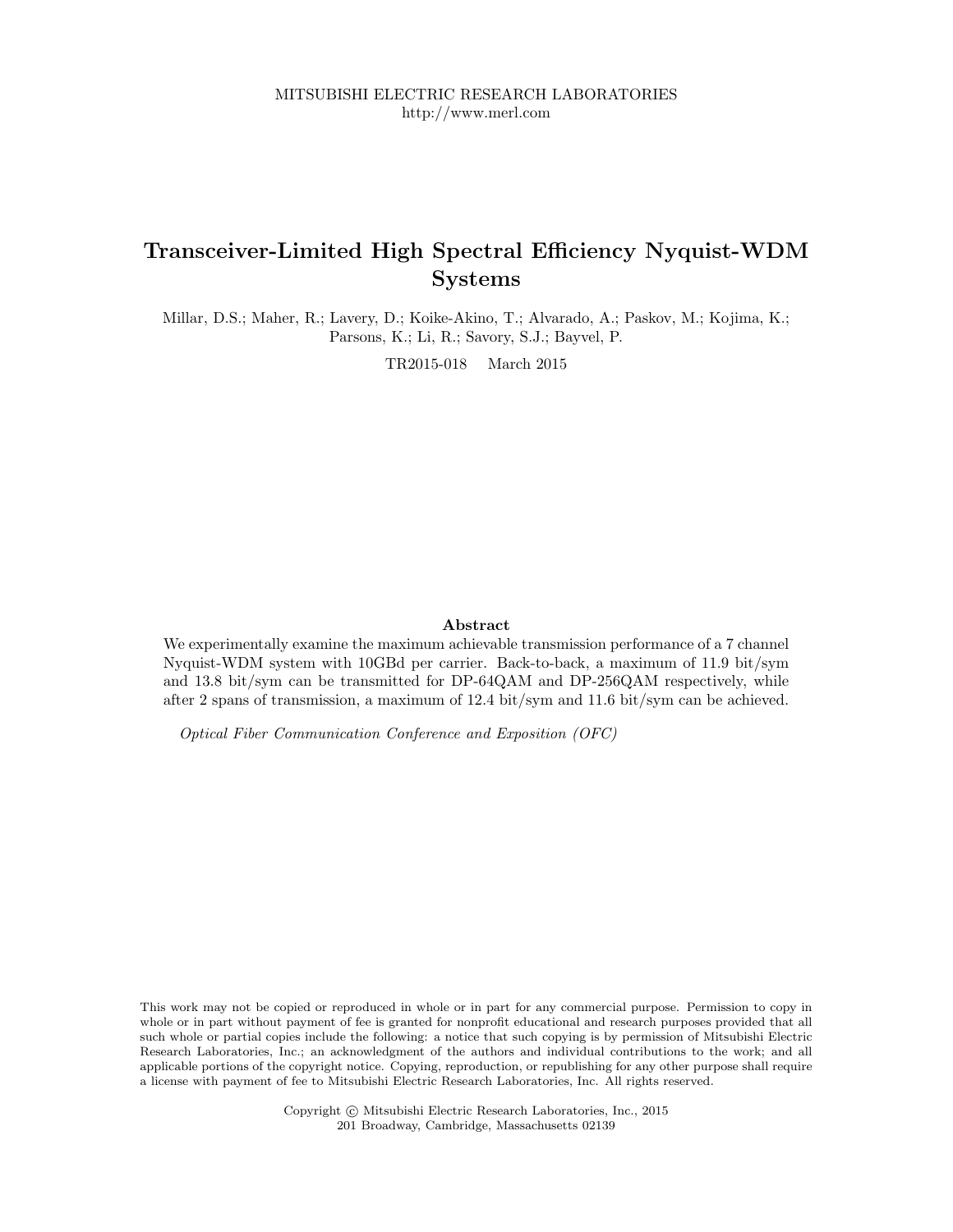# Transceiver-Limited High Spectral Efficiency Nyquist-WDM Systems

Millar, D.S.; Maher, R.; Lavery, D.; Koike-Akino, T.; Alvarado, A.; Paskov, M.; Kojima, K.; Parsons, K.; Li, R.; Savory, S.J.; Bayvel, P.

TR2015-018 March 2015

# Abstract

We experimentally examine the maximum achievable transmission performance of a 7 channel Nyquist-WDM system with 10GBd per carrier. Back-to-back, a maximum of 11.9 bit/sym and 13.8 bit/sym can be transmitted for DP-64QAM and DP-256QAM respectively, while after 2 spans of transmission, a maximum of 12.4 bit/sym and 11.6 bit/sym can be achieved.

Optical Fiber Communication Conference and Exposition (OFC)

This work may not be copied or reproduced in whole or in part for any commercial purpose. Permission to copy in whole or in part without payment of fee is granted for nonprofit educational and research purposes provided that all such whole or partial copies include the following: a notice that such copying is by permission of Mitsubishi Electric Research Laboratories, Inc.; an acknowledgment of the authors and individual contributions to the work; and all applicable portions of the copyright notice. Copying, reproduction, or republishing for any other purpose shall require a license with payment of fee to Mitsubishi Electric Research Laboratories, Inc. All rights reserved.

> Copyright © Mitsubishi Electric Research Laboratories, Inc., 2015 201 Broadway, Cambridge, Massachusetts 02139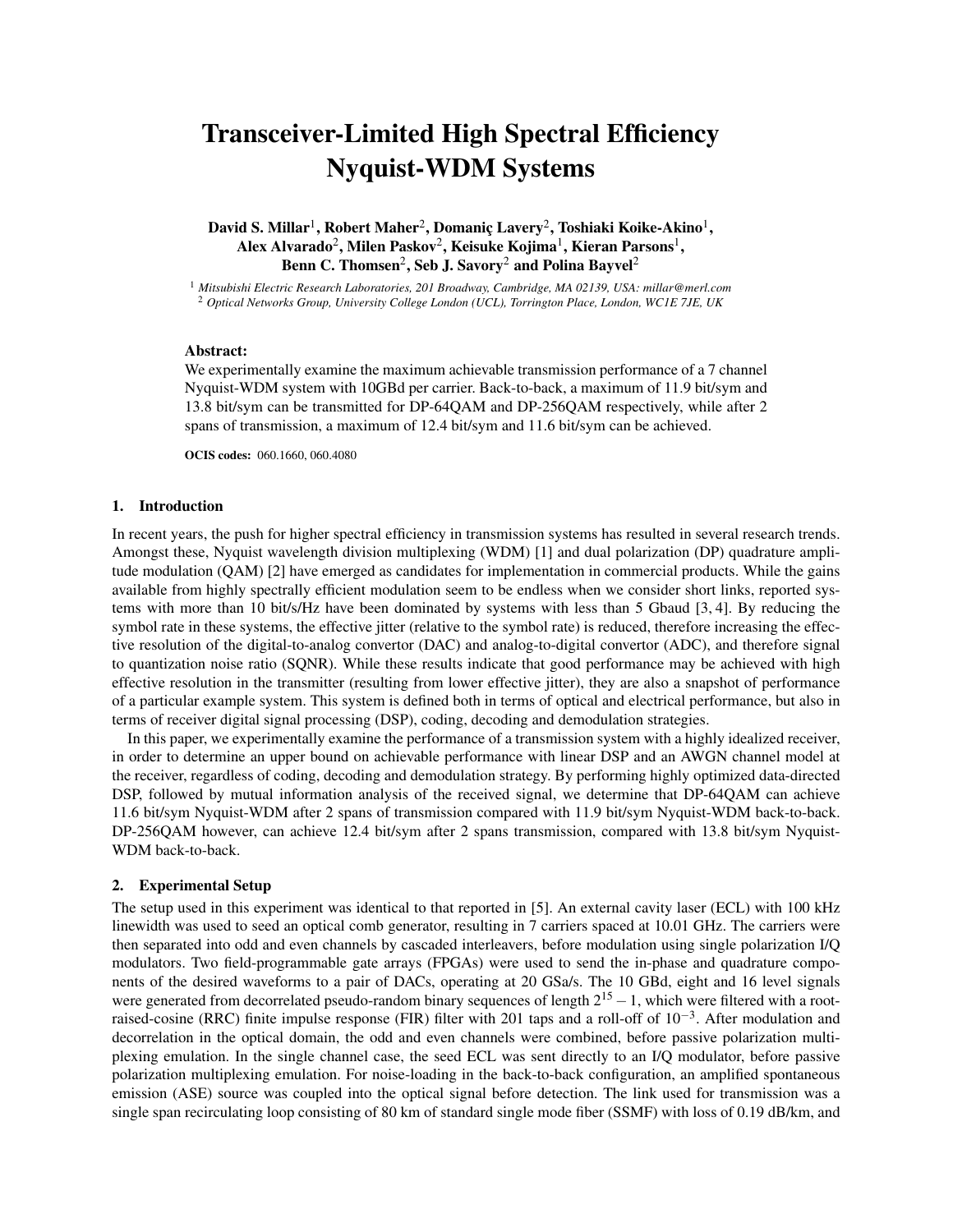# Transceiver-Limited High Spectral Efficiency Nyquist-WDM Systems

David S. Millar $^1$ , Robert Maher $^2$ , Domaniç Lavery $^2$ , Toshiaki Koike-Akino $^1,$ Alex Alvarado $^2$ , Milen Paskov $^2$ , Keisuke Kojima $^1$ , Kieran Parsons $^1,$ Benn C. Thomsen $^2$ , Seb J. Savory $^2$  and Polina Bayvel $^2$ 

<sup>1</sup> *Mitsubishi Electric Research Laboratories, 201 Broadway, Cambridge, MA 02139, USA: millar@merl.com* <sup>2</sup> *Optical Networks Group, University College London (UCL), Torrington Place, London, WC1E 7JE, UK*

# Abstract:

We experimentally examine the maximum achievable transmission performance of a 7 channel Nyquist-WDM system with 10GBd per carrier. Back-to-back, a maximum of 11.9 bit/sym and 13.8 bit/sym can be transmitted for DP-64QAM and DP-256QAM respectively, while after 2 spans of transmission, a maximum of 12.4 bit/sym and 11.6 bit/sym can be achieved.

OCIS codes: 060.1660, 060.4080

## 1. Introduction

In recent years, the push for higher spectral efficiency in transmission systems has resulted in several research trends. Amongst these, Nyquist wavelength division multiplexing (WDM) [1] and dual polarization (DP) quadrature amplitude modulation (QAM) [2] have emerged as candidates for implementation in commercial products. While the gains available from highly spectrally efficient modulation seem to be endless when we consider short links, reported systems with more than 10 bit/s/Hz have been dominated by systems with less than 5 Gbaud [3, 4]. By reducing the symbol rate in these systems, the effective jitter (relative to the symbol rate) is reduced, therefore increasing the effective resolution of the digital-to-analog convertor (DAC) and analog-to-digital convertor (ADC), and therefore signal to quantization noise ratio (SQNR). While these results indicate that good performance may be achieved with high effective resolution in the transmitter (resulting from lower effective jitter), they are also a snapshot of performance of a particular example system. This system is defined both in terms of optical and electrical performance, but also in terms of receiver digital signal processing (DSP), coding, decoding and demodulation strategies.

In this paper, we experimentally examine the performance of a transmission system with a highly idealized receiver, in order to determine an upper bound on achievable performance with linear DSP and an AWGN channel model at the receiver, regardless of coding, decoding and demodulation strategy. By performing highly optimized data-directed DSP, followed by mutual information analysis of the received signal, we determine that DP-64QAM can achieve 11.6 bit/sym Nyquist-WDM after 2 spans of transmission compared with 11.9 bit/sym Nyquist-WDM back-to-back. DP-256QAM however, can achieve 12.4 bit/sym after 2 spans transmission, compared with 13.8 bit/sym Nyquist-WDM back-to-back.

#### 2. Experimental Setup

The setup used in this experiment was identical to that reported in [5]. An external cavity laser (ECL) with 100 kHz linewidth was used to seed an optical comb generator, resulting in 7 carriers spaced at 10.01 GHz. The carriers were then separated into odd and even channels by cascaded interleavers, before modulation using single polarization I/Q modulators. Two field-programmable gate arrays (FPGAs) were used to send the in-phase and quadrature components of the desired waveforms to a pair of DACs, operating at 20 GSa/s. The 10 GBd, eight and 16 level signals were generated from decorrelated pseudo-random binary sequences of length  $2^{15} - 1$ , which were filtered with a rootraised-cosine (RRC) finite impulse response (FIR) filter with 201 taps and a roll-off of  $10^{-3}$ . After modulation and decorrelation in the optical domain, the odd and even channels were combined, before passive polarization multiplexing emulation. In the single channel case, the seed ECL was sent directly to an I/Q modulator, before passive polarization multiplexing emulation. For noise-loading in the back-to-back configuration, an amplified spontaneous emission (ASE) source was coupled into the optical signal before detection. The link used for transmission was a single span recirculating loop consisting of 80 km of standard single mode fiber (SSMF) with loss of 0.19 dB/km, and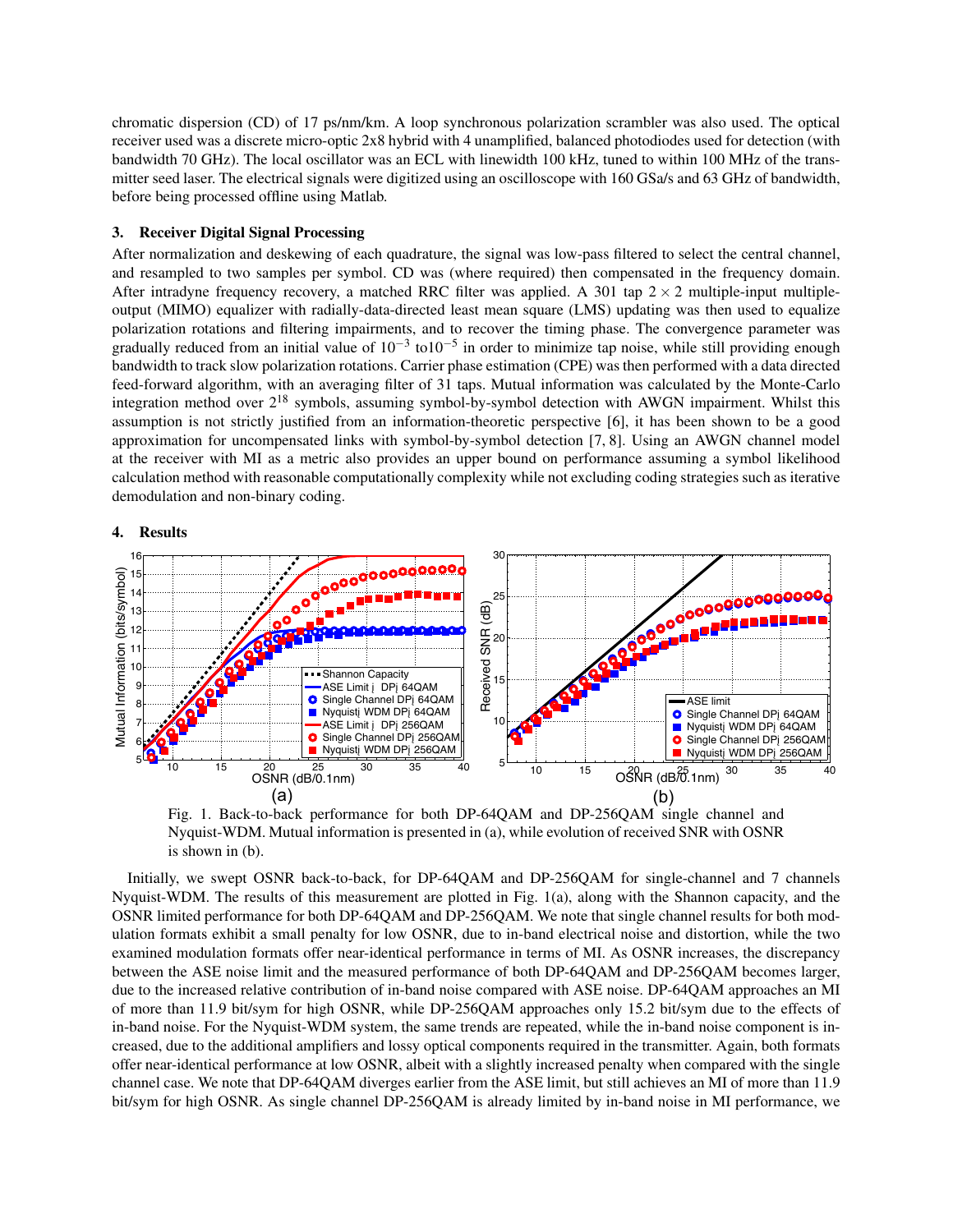chromatic dispersion (CD) of 17 ps/nm/km. A loop synchronous polarization scrambler was also used. The optical receiver used was a discrete micro-optic 2x8 hybrid with 4 unamplified, balanced photodiodes used for detection (with bandwidth 70 GHz). The local oscillator was an ECL with linewidth 100 kHz, tuned to within 100 MHz of the transmitter seed laser. The electrical signals were digitized using an oscilloscope with 160 GSa/s and 63 GHz of bandwidth, before being processed offline using Matlab.

#### 3. Receiver Digital Signal Processing

After normalization and deskewing of each quadrature, the signal was low-pass filtered to select the central channel, and resampled to two samples per symbol. CD was (where required) then compensated in the frequency domain. After intradyne frequency recovery, a matched RRC filter was applied. A 301 tap  $2 \times 2$  multiple-input multipleoutput (MIMO) equalizer with radially-data-directed least mean square (LMS) updating was then used to equalize polarization rotations and filtering impairments, and to recover the timing phase. The convergence parameter was gradually reduced from an initial value of  $10^{-3}$  to $10^{-5}$  in order to minimize tap noise, while still providing enough bandwidth to track slow polarization rotations. Carrier phase estimation (CPE) was then performed with a data directed feed-forward algorithm, with an averaging filter of 31 taps. Mutual information was calculated by the Monte-Carlo integration method over  $2^{18}$  symbols, assuming symbol-by-symbol detection with AWGN impairment. Whilst this assumption is not strictly justified from an information-theoretic perspective [6], it has been shown to be a good approximation for uncompensated links with symbol-by-symbol detection [7, 8]. Using an AWGN channel model at the receiver with MI as a metric also provides an upper bound on performance assuming a symbol likelihood calculation method with reasonable computationally complexity while not excluding coding strategies such as iterative demodulation and non-binary coding.

## 4. Results



Fig. 1. Back-to-back performance for both DP-64QAM and DP-256QAM single channel and Nyquist-WDM. Mutual information is presented in (a), while evolution of received SNR with OSNR is shown in (b).

Initially, we swept OSNR back-to-back, for DP-64QAM and DP-256QAM for single-channel and 7 channels Nyquist-WDM. The results of this measurement are plotted in Fig. 1(a), along with the Shannon capacity, and the OSNR limited performance for both DP-64QAM and DP-256QAM. We note that single channel results for both modulation formats exhibit a small penalty for low OSNR, due to in-band electrical noise and distortion, while the two examined modulation formats offer near-identical performance in terms of MI. As OSNR increases, the discrepancy between the ASE noise limit and the measured performance of both DP-64QAM and DP-256QAM becomes larger, due to the increased relative contribution of in-band noise compared with ASE noise. DP-64QAM approaches an MI of more than 11.9 bit/sym for high OSNR, while DP-256QAM approaches only 15.2 bit/sym due to the effects of in-band noise. For the Nyquist-WDM system, the same trends are repeated, while the in-band noise component is increased, due to the additional amplifiers and lossy optical components required in the transmitter. Again, both formats offer near-identical performance at low OSNR, albeit with a slightly increased penalty when compared with the single channel case. We note that DP-64QAM diverges earlier from the ASE limit, but still achieves an MI of more than 11.9 bit/sym for high OSNR. As single channel DP-256QAM is already limited by in-band noise in MI performance, we